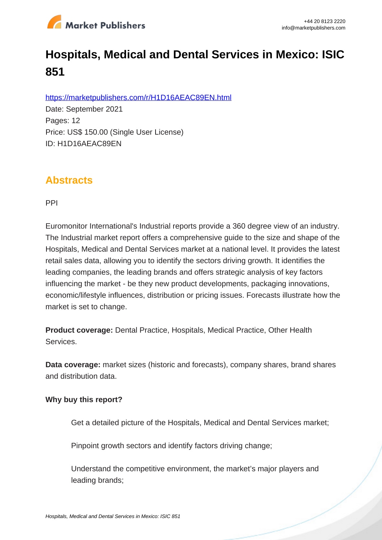

# **Hospitals, Medical and Dental Services in Mexico: ISIC 851**

https://marketpublishers.com/r/H1D16AEAC89EN.html

Date: September 2021 Pages: 12 Price: US\$ 150.00 (Single User License) ID: H1D16AEAC89EN

## **Abstracts**

PPI

Euromonitor International's Industrial reports provide a 360 degree view of an industry. The Industrial market report offers a comprehensive guide to the size and shape of the Hospitals, Medical and Dental Services market at a national level. It provides the latest retail sales data, allowing you to identify the sectors driving growth. It identifies the leading companies, the leading brands and offers strategic analysis of key factors influencing the market - be they new product developments, packaging innovations, economic/lifestyle influences, distribution or pricing issues. Forecasts illustrate how the market is set to change.

**Product coverage:** Dental Practice, Hospitals, Medical Practice, Other Health Services.

**Data coverage:** market sizes (historic and forecasts), company shares, brand shares and distribution data.

#### **Why buy this report?**

Get a detailed picture of the Hospitals, Medical and Dental Services market;

Pinpoint growth sectors and identify factors driving change:

Understand the competitive environment, the market's major players and leading brands;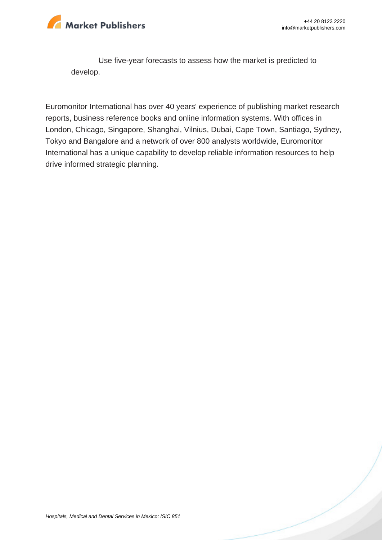

Use five-year forecasts to assess how the market is predicted to develop.

Euromonitor International has over 40 years' experience of publishing market research reports, business reference books and online information systems. With offices in London, Chicago, Singapore, Shanghai, Vilnius, Dubai, Cape Town, Santiago, Sydney, Tokyo and Bangalore and a network of over 800 analysts worldwide, Euromonitor International has a unique capability to develop reliable information resources to help drive informed strategic planning.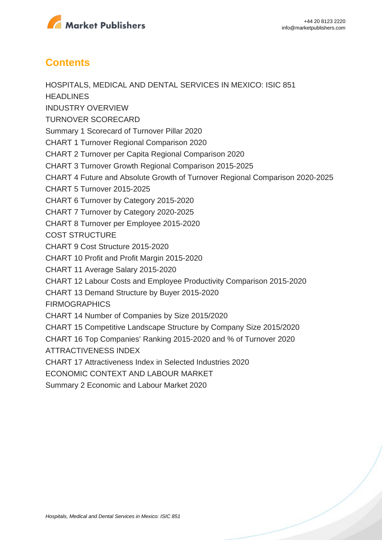

### **Contents**

HOSPITALS, MEDICAL AND DENTAL SERVICES IN MEXICO: ISIC 851 **HEADLINES** INDUSTRY OVERVIEW TURNOVER SCORECARD Summary 1 Scorecard of Turnover Pillar 2020 CHART 1 Turnover Regional Comparison 2020 CHART 2 Turnover per Capita Regional Comparison 2020 CHART 3 Turnover Growth Regional Comparison 2015-2025 CHART 4 Future and Absolute Growth of Turnover Regional Comparison 2020-2025 CHART 5 Turnover 2015-2025 CHART 6 Turnover by Category 2015-2020 CHART 7 Turnover by Category 2020-2025 CHART 8 Turnover per Employee 2015-2020 COST STRUCTURE CHART 9 Cost Structure 2015-2020 CHART 10 Profit and Profit Margin 2015-2020 CHART 11 Average Salary 2015-2020 CHART 12 Labour Costs and Employee Productivity Comparison 2015-2020 CHART 13 Demand Structure by Buyer 2015-2020 **FIRMOGRAPHICS** CHART 14 Number of Companies by Size 2015/2020 CHART 15 Competitive Landscape Structure by Company Size 2015/2020 CHART 16 Top Companies' Ranking 2015-2020 and % of Turnover 2020 ATTRACTIVENESS INDEX CHART 17 Attractiveness Index in Selected Industries 2020 ECONOMIC CONTEXT AND LABOUR MARKET Summary 2 Economic and Labour Market 2020